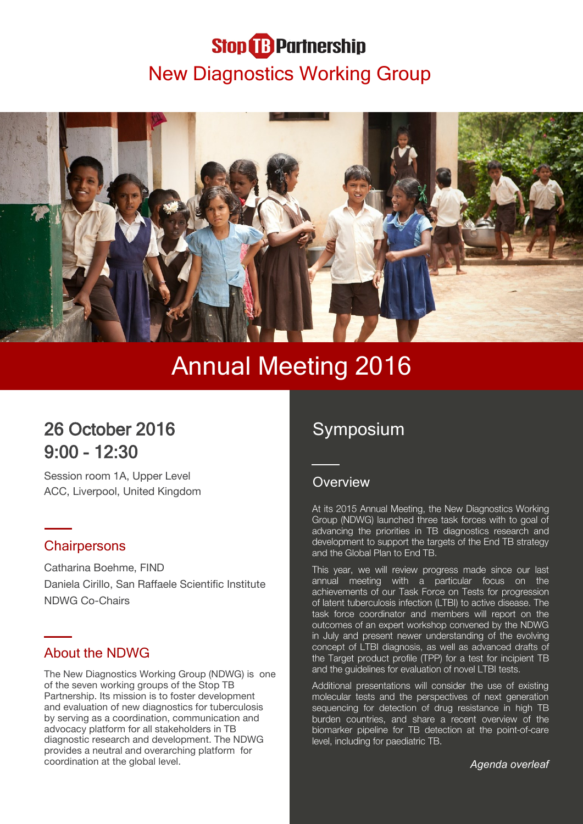# **Stop B** Partnership New Diagnostics Working Group



# Annual Meeting 2016

# 26 October 2016 9:00 - 12:30

Session room 1A, Upper Level ACC, Liverpool, United Kingdom

## **Chairpersons**

Catharina Boehme, FIND Daniela Cirillo, San Raffaele Scientific Institute NDWG Co-Chairs

## About the NDWG

The New Diagnostics Working Group (NDWG) is one of the seven working groups of the Stop TB Partnership. Its mission is to foster development and evaluation of new diagnostics for tuberculosis by serving as a coordination, communication and advocacy platform for all stakeholders in TB diagnostic research and development. The NDWG provides a neutral and overarching platform for coordination at the global level.

# Symposium

### **Overview**

At its 2015 Annual Meeting, the New Diagnostics Working Group (NDWG) launched three task forces with to goal of advancing the priorities in TB diagnostics research and development to support the targets of the End TB strategy and the Global Plan to End TB.

This year, we will review progress made since our last annual meeting with a particular focus on the achievements of our Task Force on Tests for progression of latent tuberculosis infection (LTBI) to active disease. The task force coordinator and members will report on the outcomes of an expert workshop convened by the NDWG in July and present newer understanding of the evolving concept of LTBI diagnosis, as well as advanced drafts of the Target product profile (TPP) for a test for incipient TB and the guidelines for evaluation of novel LTBI tests.

Additional presentations will consider the use of existing molecular tests and the perspectives of next generation sequencing for detection of drug resistance in high TB burden countries, and share a recent overview of the biomarker pipeline for TB detection at the point-of-care level, including for paediatric TB.

*Agenda overleaf*